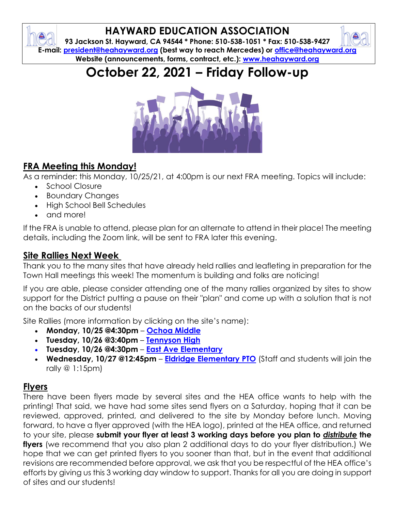## **HAYWARD EDUCATION ASSOCIATION**

**93 Jackson St. Hayward, CA 94544 \* Phone: 510-538-1051 \* Fax: 510-538-9427 E-mail: [president@heahayward.org](mailto:president@heahayward.org) (best way to reach Mercedes) or [office@heahayward.org](mailto:office@heahayward.org) Website (announcements, forms, contract, etc.): [www.heahayward.org](http://www.heahayward.org/)**





## **FRA Meeting this Monday!**

As a reminder: this Monday, 10/25/21, at 4:00pm is our next FRA meeting. Topics will include:

- School Closure
- Boundary Changes
- High School Bell Schedules
- and more!

If the FRA is unable to attend, please plan for an alternate to attend in their place! The meeting details, including the Zoom link, will be sent to FRA later this evening.

#### **Site Rallies Next Week**

Thank you to the many sites that have already held rallies and leafleting in preparation for the Town Hall meetings this week! The momentum is building and folks are noticing!

If you are able, please consider attending one of the many rallies organized by sites to show support for the District putting a pause on their "plan" and come up with a solution that is not on the backs of our students!

Site Rallies (more information by clicking on the site's name):

- **Monday, 10/25 @4:30pm [Ochoa Middle](https://docs.google.com/document/d/171OvwsHpzaKXpScS86HjsjwbrM62xJPp/edit?usp=sharing&ouid=106387318619838498065&rtpof=true&sd=true)**
- **Tuesday, 10/26 @3:40pm [Tennyson High](https://drive.google.com/file/d/1F8mwS1YYQFI3YwQqDB-8nkidSAKyUmrT/view?usp=sharing)**
- **Tuesday, 10/26 @4:30pm [East Ave Elementary](https://drive.google.com/file/d/1CnCc1xgLLhJ6esTFrZOkSUrC3auY_F6O/view?usp=sharing)**
- **Wednesday, 10/27 @12:45pm [Eldridge Elementary PTO](https://docs.google.com/document/d/11hsWWTmBd_wYK2yyDORDXThNhDPwJcmA/edit?usp=sharing&ouid=106387318619838498065&rtpof=true&sd=true)** (Staff and students will join the rally @ 1:15pm)

## **Flyers**

There have been flyers made by several sites and the HEA office wants to help with the printing! That said, we have had some sites send flyers on a Saturday, hoping that it can be reviewed, approved, printed, and delivered to the site by Monday before lunch. Moving forward, to have a flyer approved (with the HEA logo), printed at the HEA office, and returned to your site, please **submit your flyer at least 3 working days before you plan to** *distribute* **the flyers** (we recommend that you also plan 2 additional days to do your flyer distribution.) We hope that we can get printed flyers to you sooner than that, but in the event that additional revisions are recommended before approval, we ask that you be respectful of the HEA office's efforts by giving us this 3 working day window to support. Thanks for all you are doing in support of sites and our students!